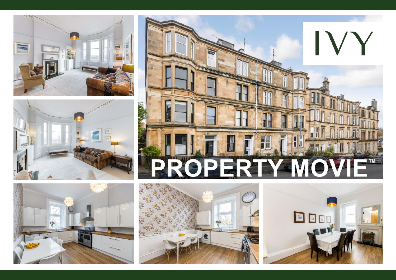









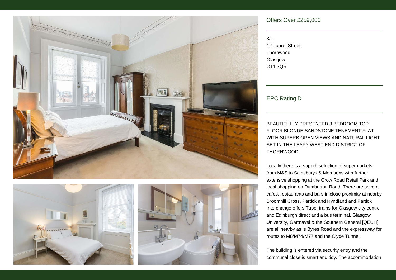





## Offers Over £259,000

3/1 12 Laurel Street Thornwood Glasgow G11 7QR

EPC Rating D

BEAUTIFULLY PRESENTED 3 BEDROOM TOP FLOOR BLONDE SANDSTONE TENEMENT FLAT WITH SUPERB OPEN VIEWS AND NATURAL LIGHT SET IN THE LEAFY WEST END DISTRICT OF THORNWOOD.

Locally there is a superb selection of supermarkets from M&S to Sainsburys & Morrisons with further extensive shopping at the Crow Road Retail Park and local shopping on Dumbarton Road. There are several cafes, restaurants and bars in close proximity at nearby Broomhill Cross, Partick and Hyndland and Partick Interchange offers Tube, trains for Glasgow city centre and Edinburgh direct and a bus terminal. Glasgow University, Gartnavel & the Southern General [QEUH] are all nearby as is Byres Road and the expressway for routes to M8/M74/M77 and the Clyde Tunnel.

The building is entered via security entry and the communal close is smart and tidy. The accommodation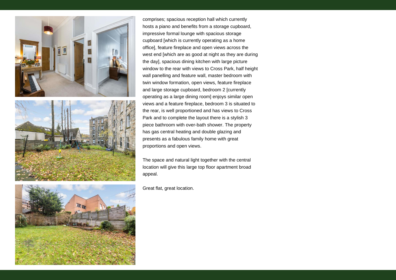





comprises; spacious reception hall which currently hosts a piano and benefits from a storage cupboard, impressive formal lounge with spacious storage cupboard [which is currently operating as a home office], feature fireplace and open views across the west end [which are as good at night as they are during the day], spacious dining kitchen with large picture window to the rear with views to Cross Park, half height wall panelling and feature wall, master bedroom with twin window formation, open views, feature fireplace and large storage cupboard, bedroom 2 [currently operating as a large dining room] enjoys similar open views and a feature fireplace, bedroom 3 is situated to the rear, is well proportioned and has views to Cross Park and to complete the layout there is a stylish 3 piece bathroom with over-bath shower. The property has gas central heating and double glazing and presents as a fabulous family home with great proportions and open views.

The space and natural light together with the central location will give this large top floor apartment broad appeal.

Great flat, great location.